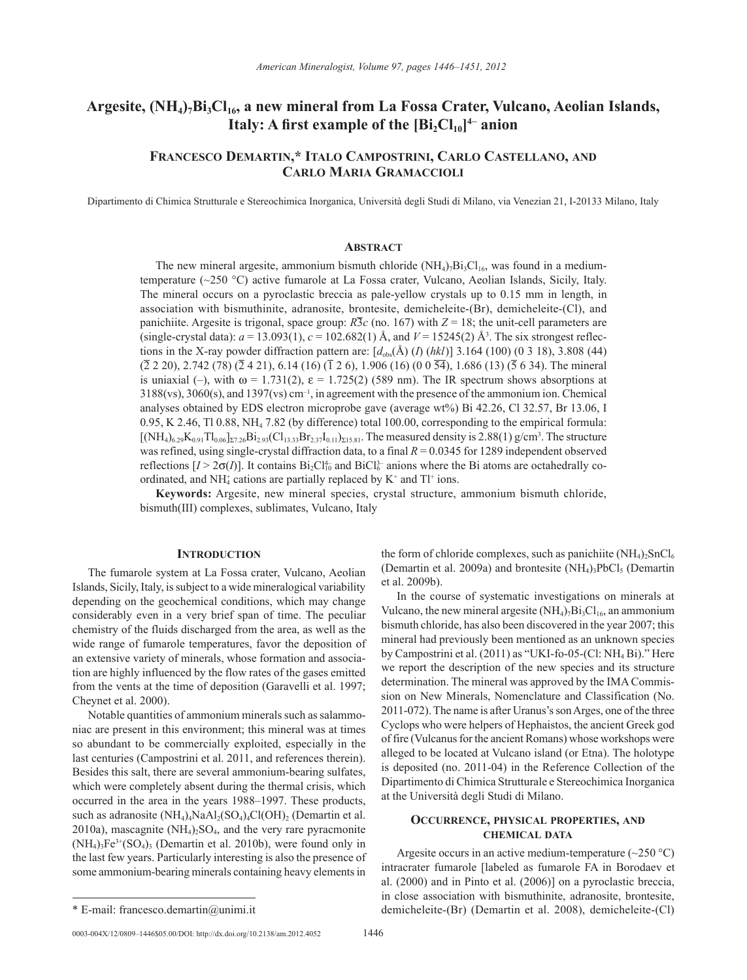# Argesite, (NH<sub>4</sub>)<sub>7</sub>Bi<sub>3</sub>Cl<sub>16</sub>, a new mineral from La Fossa Crater, Vulcano, Aeolian Islands, **Italy: A first example of the [Bi**<sub>2</sub>Cl<sub>10</sub>]<sup>4−</sup> anion

## **Francesco Demartin,\* Italo Campostrini, Carlo Castellano, and Carlo Maria Gramaccioli**

Dipartimento di Chimica Strutturale e Stereochimica Inorganica, Università degli Studi di Milano, via Venezian 21, I-20133 Milano, Italy

#### **Abstract**

The new mineral argesite, ammonium bismuth chloride  $(NH_4)_7Bi_3Cl_{16}$ , was found in a mediumtemperature (~250 °C) active fumarole at La Fossa crater, Vulcano, Aeolian Islands, Sicily, Italy. The mineral occurs on a pyroclastic breccia as pale-yellow crystals up to 0.15 mm in length, in association with bismuthinite, adranosite, brontesite, demicheleite-(Br), demicheleite-(Cl), and panichiite. Argesite is trigonal, space group:  $R\overline{3}c$  (no. 167) with  $Z = 18$ ; the unit-cell parameters are (single-crystal data):  $a = 13.093(1)$ ,  $c = 102.682(1)$  Å, and  $V = 15245(2)$  Å<sup>3</sup>. The six strongest reflections in the X-ray powder diffraction pattern are:  $[d_{obs}(\text{\AA}) (I) (hkl)]$  3.164 (100) (0 3 18), 3.808 (44)  $(2 \ 2 \ 2 \ 2 \ 0)$ , 2.742 (78)  $(2 \ 4 \ 2 \ 1)$ , 6.14 (16) ( $\overline{1}$  2 6), 1.906 (16) (0 0  $\overline{54}$ ), 1.686 (13) ( $\overline{5}$  6 34). The mineral is uniaxial (–), with  $\omega = 1.731(2)$ ,  $\varepsilon = 1.725(2)$  (589 nm). The IR spectrum shows absorptions at 3188(vs), 3060(s), and 1397(vs) cm–1, in agreement with the presence of the ammonium ion. Chemical analyses obtained by EDS electron microprobe gave (average wt%) Bi 42.26, Cl 32.57, Br 13.06, I 0.95, K 2.46, Tl 0.88, NH4 7.82 (by difference) total 100.00, corresponding to the empirical formula:  $[(NH_4)_{6.29}K_{0.91}Tl_{0.06}]z_{7.26}Bi_{2.93}(Cl_{13.33}Br_{2.37}I_{0.11})z_{15.81}$ . The measured density is 2.88(1) g/cm<sup>3</sup>. The structure was refined, using single-crystal diffraction data, to a final  $R = 0.0345$  for 1289 independent observed reflections  $[I > 2\sigma(I)]$ . It contains  $Bi_2Cl_{10}^{4-}$  and  $BiCl_0^{3-}$  anions where the Bi atoms are octahedrally coordinated, and  $NH_4^+$  cations are partially replaced by  $K^+$  and  $TI^+$  ions.

**Keywords:** Argesite, new mineral species, crystal structure, ammonium bismuth chloride, bismuth(III) complexes, sublimates, Vulcano, Italy

#### **INTRODUCTION**

The fumarole system at La Fossa crater, Vulcano, Aeolian Islands, Sicily, Italy, is subject to a wide mineralogical variability depending on the geochemical conditions, which may change considerably even in a very brief span of time. The peculiar chemistry of the fluids discharged from the area, as well as the wide range of fumarole temperatures, favor the deposition of an extensive variety of minerals, whose formation and association are highly influenced by the flow rates of the gases emitted from the vents at the time of deposition (Garavelli et al. 1997; Cheynet et al. 2000).

Notable quantities of ammonium minerals such as salammoniac are present in this environment; this mineral was at times so abundant to be commercially exploited, especially in the last centuries (Campostrini et al. 2011, and references therein). Besides this salt, there are several ammonium-bearing sulfates, which were completely absent during the thermal crisis, which occurred in the area in the years 1988–1997. These products, such as adranosite  $(NH_4)_4NaAl_2(SO_4)_4Cl(OH)_2$  (Demartin et al. 2010a), mascagnite  $(NH<sub>4</sub>)<sub>2</sub>SO<sub>4</sub>$ , and the very rare pyracmonite  $(NH_4)$ <sub>3</sub>Fe<sup>3+</sup>(SO<sub>4</sub>)<sub>3</sub> (Demartin et al. 2010b), were found only in the last few years. Particularly interesting is also the presence of some ammonium-bearing minerals containing heavy elements in the form of chloride complexes, such as panichiite  $(NH_4)_2SnCl_6$ (Demartin et al. 2009a) and brontesite  $(NH_4)$ <sub>3</sub>PbCl<sub>5</sub> (Demartin et al. 2009b).

In the course of systematic investigations on minerals at Vulcano, the new mineral argesite  $(NH_4)_7Bi_3Cl_{16}$ , an ammonium bismuth chloride, has also been discovered in the year 2007; this mineral had previously been mentioned as an unknown species by Campostrini et al. (2011) as "UKI-fo-05-(Cl: NH4 Bi)." Here we report the description of the new species and its structure determination. The mineral was approved by the IMA Commission on New Minerals, Nomenclature and Classification (No. 2011-072). The name is after Uranus's son Arges, one of the three Cyclops who were helpers of Hephaistos, the ancient Greek god of fire (Vulcanus for the ancient Romans) whose workshops were alleged to be located at Vulcano island (or Etna). The holotype is deposited (no. 2011-04) in the Reference Collection of the Dipartimento di Chimica Strutturale e Stereochimica Inorganica at the Università degli Studi di Milano.

### **Occurrence, physical properties, and chemical data**

Argesite occurs in an active medium-temperature  $(\sim 250 \degree C)$ intracrater fumarole [labeled as fumarole FA in Borodaev et al. (2000) and in Pinto et al. (2006)] on a pyroclastic breccia, in close association with bismuthinite, adranosite, brontesite, \* E-mail: francesco.demartin@unimi.it demicheleite-(Br) (Demartin et al. 2008), demicheleite-(Cl)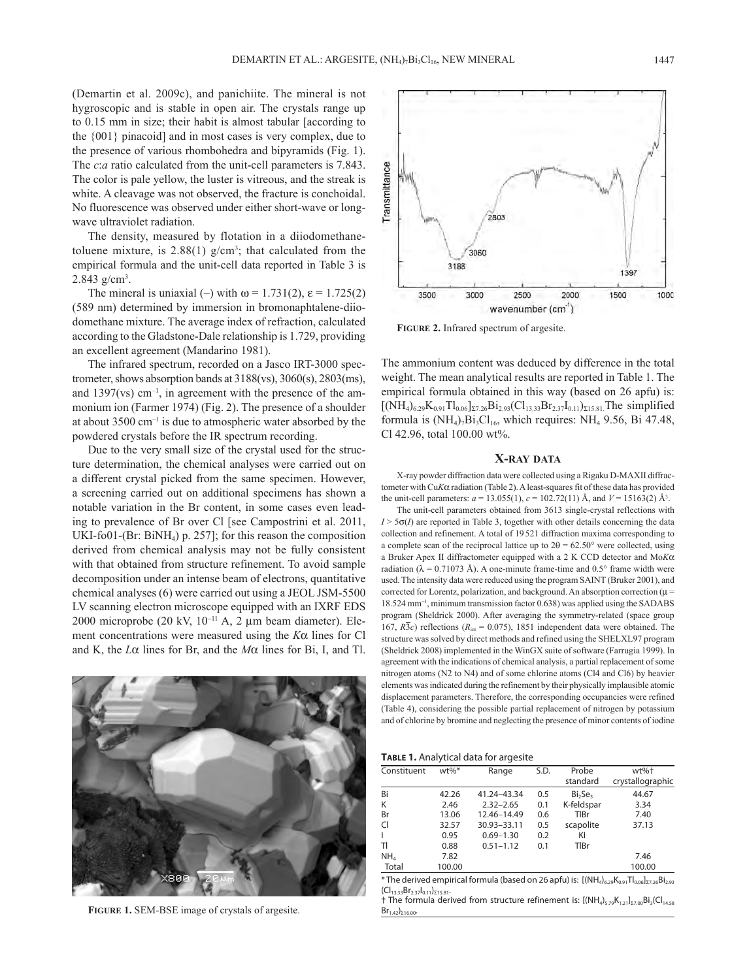(Demartin et al. 2009c), and panichiite. The mineral is not hygroscopic and is stable in open air. The crystals range up to 0.15 mm in size; their habit is almost tabular [according to the {001} pinacoid] and in most cases is very complex, due to the presence of various rhombohedra and bipyramids (Fig. 1). The *c*:*a* ratio calculated from the unit-cell parameters is 7.843. The color is pale yellow, the luster is vitreous, and the streak is white. A cleavage was not observed, the fracture is conchoidal. No fluorescence was observed under either short-wave or longwave ultraviolet radiation.

The density, measured by flotation in a diiodomethanetoluene mixture, is  $2.88(1)$  g/cm<sup>3</sup>; that calculated from the empirical formula and the unit-cell data reported in Table 3 is 2.843 g/cm<sup>3</sup>.

The mineral is uniaxial (–) with  $\omega$  = 1.731(2),  $\varepsilon$  = 1.725(2) (589 nm) determined by immersion in bromonaphtalene-diiodomethane mixture. The average index of refraction, calculated according to the Gladstone-Dale relationship is 1.729, providing an excellent agreement (Mandarino 1981).

The infrared spectrum, recorded on a Jasco IRT-3000 spectrometer, shows absorption bands at 3188(vs), 3060(s), 2803(ms), and  $1397$ (vs) cm<sup>-1</sup>, in agreement with the presence of the ammonium ion (Farmer 1974) (Fig. 2). The presence of a shoulder at about  $3500 \text{ cm}^{-1}$  is due to atmospheric water absorbed by the powdered crystals before the IR spectrum recording.

Due to the very small size of the crystal used for the structure determination, the chemical analyses were carried out on a different crystal picked from the same specimen. However, a screening carried out on additional specimens has shown a notable variation in the Br content, in some cases even leading to prevalence of Br over Cl [see Campostrini et al. 2011, UKI-fo01-(Br: BiNH<sub>4</sub>) p. 257]; for this reason the composition derived from chemical analysis may not be fully consistent with that obtained from structure refinement. To avoid sample decomposition under an intense beam of electrons, quantitative chemical analyses (6) were carried out using a JEOL JSM-5500 LV scanning electron microscope equipped with an IXRF EDS 2000 microprobe (20 kV, 10−11 A, 2 µm beam diameter). Element concentrations were measured using the *K*α lines for Cl and K, the *L*α lines for Br, and the *M*α lines for Bi, I, and Tl.



**Figure 1.** SEM-BSE image of crystals of argesite.



**Figure 2.** Infrared spectrum of argesite.

The ammonium content was deduced by difference in the total weight. The mean analytical results are reported in Table 1. The empirical formula obtained in this way (based on 26 apfu) is:  $[(NH_4)_{6.29}K_{0.91}Tl_{0.06}]_{\Sigma7.26}Bi_{2.93}(Cl_{13.33}Br_{2.37}I_{0.11})_{\Sigma15.81}$ .The simplified formula is  $(NH_4)_7Bi_3Cl_{16}$ , which requires:  $NH_4$  9.56, Bi 47.48, Cl 42.96, total 100.00 wt%.

#### **X-ray data**

X-ray powder diffraction data were collected using a Rigaku D-MAXII diffractometer with Cu*K*α radiation (Table 2). A least-squares fit of these data has provided the unit-cell parameters:  $a = 13.055(1)$ ,  $c = 102.72(11)$  Å, and  $V = 15163(2)$  Å<sup>3</sup>.

The unit-cell parameters obtained from 3613 single-crystal reflections with  $I > 5\sigma(I)$  are reported in Table 3, together with other details concerning the data collection and refinement. A total of 19521 diffraction maxima corresponding to a complete scan of the reciprocal lattice up to  $2\theta = 62.50^{\circ}$  were collected, using a Bruker Apex II diffractometer equipped with a 2 K CCD detector and Mo*K*α radiation ( $\lambda = 0.71073$  Å). A one-minute frame-time and  $0.5^{\circ}$  frame width were used. The intensity data were reduced using the program SAINT (Bruker 2001), and corrected for Lorentz, polarization, and background. An absorption correction ( $\mu$  = 18.524 mm<sup>−</sup><sup>1</sup> , minimum transmission factor 0.638) was applied using the SADABS program (Sheldrick 2000). After averaging the symmetry-related (space group 167,  $R\overline{3}c$ ) reflections ( $R_{int} = 0.075$ ), 1851 independent data were obtained. The structure was solved by direct methods and refined using the SHELXL97 program (Sheldrick 2008) implemented in the WinGX suite of software (Farrugia 1999). In agreement with the indications of chemical analysis, a partial replacement of some nitrogen atoms (N2 to N4) and of some chlorine atoms (Cl4 and Cl6) by heavier elements was indicated during the refinement by their physically implausible atomic displacement parameters. Therefore, the corresponding occupancies were refined (Table 4), considering the possible partial replacement of nitrogen by potassium and of chlorine by bromine and neglecting the presence of minor contents of iodine

**Table 1.** Analytical data for argesite

| Constituent     | $wt\%*$ | Range         | S.D. | Probe                           | wt%+             |
|-----------------|---------|---------------|------|---------------------------------|------------------|
|                 |         |               |      | standard                        | crystallographic |
| Bi              | 42.26   | 41.24-43.34   | 0.5  | Bi <sub>2</sub> Se <sub>3</sub> | 44.67            |
| K               | 2.46    | $2.32 - 2.65$ | 0.1  | K-feldspar                      | 3.34             |
| Br              | 13.06   | 12.46-14.49   | 0.6  | TIBr                            | 7.40             |
| CI              | 32.57   | 30.93-33.11   | 0.5  | scapolite                       | 37.13            |
|                 | 0.95    | $0.69 - 1.30$ | 0.2  | KI                              |                  |
| TI              | 0.88    | $0.51 - 1.12$ | 0.1  | TIBr                            |                  |
| NH <sub>4</sub> | 7.82    |               |      |                                 | 7.46             |
| Total           | 100.00  |               |      |                                 | 100.00           |

\* The derived empirical formula (based on 26 apfu) is:  $[(NH_4)_{6,29}K_{0.91}T_{10.06}]_{7,7,8}B_{1,93}$  $(Cl_{13.33}Br_{2.37}I_{0.11})_{\Sigma 15.81}$ 

† The formula derived from structure refinement is:  $[(NH_4)_{5.79}K_{1.21}]_{\Sigma7.00}Bi_3(Cl_{14.58})$  $Br_{1.42}$ )<sub>Σ16.00</sub>.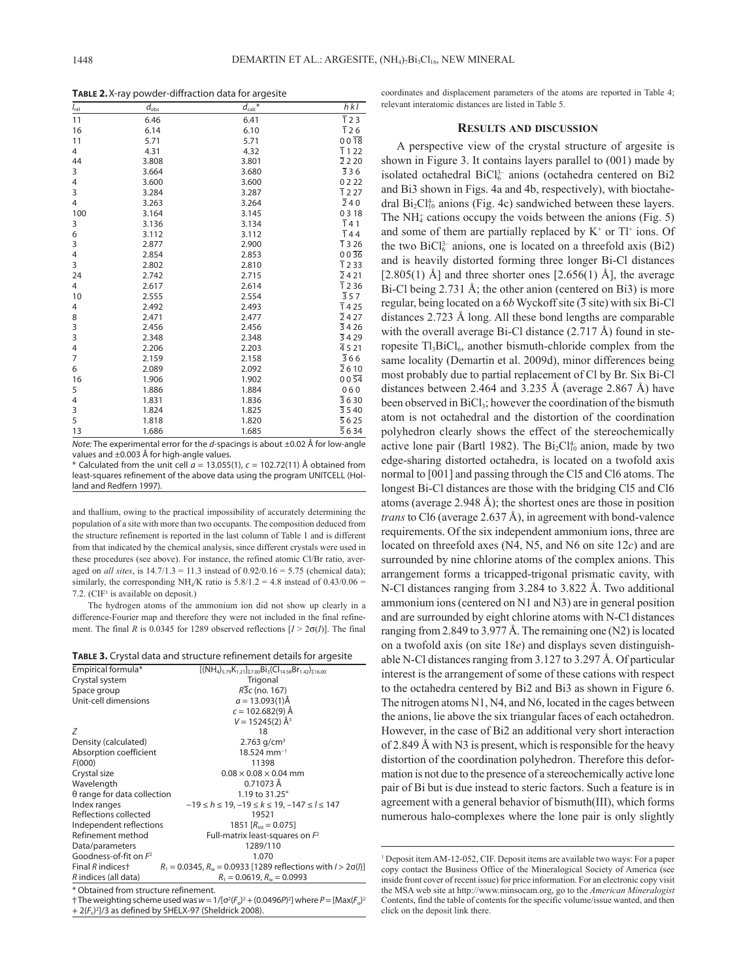**TABLE** 2. X-ray powder-diffraction data for argesite

| $I_{rel}$      | $\overline{d}_{\rm obs}$ | $d_{\mathsf{calc}}$ | $h$ kl               |
|----------------|--------------------------|---------------------|----------------------|
| 11             | 6.46                     | 6.41                | $\overline{1}$ 2 3   |
| 16             | 6.14                     | 6.10                | $\overline{1}$ 26    |
| 11             | 5.71                     | 5.71                | $00\overline{18}$    |
| 4              | 4.31                     | 4.32                | $\overline{1}$ 1 22  |
| 44             | 3.808                    | 3.801               | $\overline{2}$ 2 2 0 |
| 3              | 3.664                    | 3.680               | $\overline{3}36$     |
| 4              | 3.600                    | 3.600               | 0222                 |
| 3              | 3.284                    | 3.287               | $\overline{1}$ 2 27  |
| 4              | 3.263                    | 3.264               | $\overline{2}$ 40    |
| 100            | 3.164                    | 3.145               | 0318                 |
| 3              | 3.136                    | 3.134               | $\overline{1}$ 41    |
| 6              | 3.112                    | 3.112               | $\overline{1}$ 44    |
| 3              | 2.877                    | 2.900               | $\overline{1}$ 3 26  |
| 4              | 2.854                    | 2.853               | $00\,36$             |
| 3              | 2.802                    | 2.810               | $\overline{1}$ 2 33  |
| 24             | 2.742                    | 2.715               | $\overline{2}$ 4 21  |
| $\overline{4}$ | 2.617                    | 2.614               | $\overline{1}$ 2 36  |
| 10             | 2.555                    | 2.554               | $\overline{3}57$     |
| 4              | 2.492                    | 2.493               | $\overline{1}$ 4 25  |
| 8              | 2.471                    | 2.477               | $\overline{2}$ 4 27  |
| 3              | 2.456                    | 2.456               | $\overline{3}$ 4 26  |
| 3              | 2.348                    | 2.348               | 3429                 |
| 4              | 2.206                    | 2.203               | $\bar{4}$ 5 21       |
| 7              | 2.159                    | 2.158               | $\overline{3}$ 66    |
| 6              | 2.089                    | 2.092               | $\overline{2}$ 6 10  |
| 16             | 1.906                    | 1.902               | $00\,54$             |
| 5              | 1.886                    | 1.884               | 060                  |
| 4              | 1.831                    | 1.836               | 3630                 |
| 3              | 1.824                    | 1.825               | $\overline{3}$ 5 40  |
| 5              | 1.818                    | 1.820               | $\overline{5}$ 6 25  |
| 13             | 1.686                    | 1.685               | $\overline{5}$ 6 34  |

*Note:* The experimental error for the *d*-spacings is about ±0.02 Å for low-angle values and ±0.003 Å for high-angle values.

 $*$  Calculated from the unit cell  $\alpha$  = 13.055(1),  $c$  = 102.72(11) Å obtained from least-squares refinement of the above data using the program UNITCELL (Holland and Redfern 1997).

and thallium, owing to the practical impossibility of accurately determining the population of a site with more than two occupants. The composition deduced from the structure refinement is reported in the last column of Table 1 and is different from that indicated by the chemical analysis, since different crystals were used in these procedures (see above). For instance, the refined atomic Cl/Br ratio, averaged on *all sites*, is 14.7/1.3 = 11.3 instead of 0.92/0.16 = 5.75 (chemical data); similarly, the corresponding NH<sub>4</sub>/K ratio is  $5.8/1.2 = 4.8$  instead of  $0.43/0.06 =$ 7.2. (CIF<sup>1</sup> is available on deposit.)

The hydrogen atoms of the ammonium ion did not show up clearly in a difference-Fourier map and therefore they were not included in the final refinement. The final *R* is 0.0345 for 1289 observed reflections  $[I > 2\sigma(I)]$ . The final

| TABLE 3. Crystal data and structure refinement details for argesite |  |  |
|---------------------------------------------------------------------|--|--|
|---------------------------------------------------------------------|--|--|

| Empirical formula*                 | $[(NH_4)_{5,79}K_{1,21}^{\circ}$ <sub>7.00</sub> Bi <sub>3</sub> (Cl <sub>14.58</sub> Br <sub>1.42</sub> ) <sub>716.00</sub> |
|------------------------------------|------------------------------------------------------------------------------------------------------------------------------|
| Crystal system                     | Trigonal                                                                                                                     |
| Space group                        | R3c (no. 167)                                                                                                                |
| Unit-cell dimensions               | $a = 13.093(1)$ Å                                                                                                            |
|                                    | $c = 102.682(9)$ Å                                                                                                           |
|                                    | $V = 15245(2)$ Å <sup>3</sup>                                                                                                |
| Ζ                                  | 18                                                                                                                           |
| Density (calculated)               | 2.763 $q/cm^3$                                                                                                               |
| Absorption coefficient             | $18.524$ mm <sup>-1</sup>                                                                                                    |
| F(000)                             | 11398                                                                                                                        |
| Crystal size                       | $0.08 \times 0.08 \times 0.04$ mm                                                                                            |
| Wavelength                         | 0.71073 Å                                                                                                                    |
| $\theta$ range for data collection | 1.19 to 31.25°                                                                                                               |
| Index ranges                       | $-19 \le h \le 19$ , $-19 \le k \le 19$ , $-147 \le l \le 147$                                                               |
| Reflections collected              | 19521                                                                                                                        |
| Independent reflections            | 1851 $[R_{\text{int}} = 0.075]$                                                                                              |
| Refinement method                  | Full-matrix least-squares on $F^2$                                                                                           |
| Data/parameters                    | 1289/110                                                                                                                     |
| Goodness-of-fit on $F^2$           | 1.070                                                                                                                        |
| Final R indices <sup>+</sup>       | $R_1 = 0.0345$ , $R_w = 0.0933$ [1289 reflections with $l > 2\sigma(l)$ ]                                                    |
| R indices (all data)               | $R_1 = 0.0619$ , $R_w = 0.0993$                                                                                              |
|                                    |                                                                                                                              |

\* Obtained from structure refinement.

† The weighting scheme used was  $w = 1/[\sigma^2 (F_0)^2 + (0.0496P)^2]$  where  $P = [Max(F_0)^2]$ + 2( $F_c$ )<sup>2</sup>]/3 as defined by SHELX-97 (Sheldrick 2008).

coordinates and displacement parameters of the atoms are reported in Table 4; relevant interatomic distances are listed in Table 5.

## **Results and discussion**

A perspective view of the crystal structure of argesite is shown in Figure 3. It contains layers parallel to (001) made by isolated octahedral  $BiCl<sub>6</sub><sup>3-</sup>$  anions (octahedra centered on Bi2 and Bi3 shown in Figs. 4a and 4b, respectively), with bioctahedral  $Bi_2Cl_{10}^4$  anions (Fig. 4c) sandwiched between these layers. The  $NH<sub>4</sub>$  cations occupy the voids between the anions (Fig. 5) and some of them are partially replaced by  $K^+$  or  $Tl^+$  ions. Of the two  $BiCl<sub>6</sub><sup>3-</sup> anions, one is located on a threefold axis (Bi2)$ and is heavily distorted forming three longer Bi-Cl distances  $[2.805(1)$  Å] and three shorter ones  $[2.656(1)$  Å], the average Bi-Cl being 2.731 Å; the other anion (centered on Bi3) is more regular, being located on a  $6b$  Wyckoff site  $(\overline{3}$  site) with six Bi-Cl distances 2.723 Å long. All these bond lengths are comparable with the overall average Bi-Cl distance (2.717 Å) found in steropesite  $Tl_3BiCl_6$ , another bismuth-chloride complex from the same locality (Demartin et al. 2009d), minor differences being most probably due to partial replacement of Cl by Br. Six Bi-Cl distances between 2.464 and 3.235 Å (average 2.867 Å) have been observed in  $BiCl<sub>3</sub>$ ; however the coordination of the bismuth atom is not octahedral and the distortion of the coordination polyhedron clearly shows the effect of the stereochemically active lone pair (Bartl 1982). The  $Bi_2Cl_{10}^{4-}$  anion, made by two edge-sharing distorted octahedra, is located on a twofold axis normal to [001] and passing through the Cl5 and Cl6 atoms. The longest Bi-Cl distances are those with the bridging Cl5 and Cl6 atoms (average 2.948 Å); the shortest ones are those in position *trans* to Cl6 (average 2.637 Å), in agreement with bond-valence requirements. Of the six independent ammonium ions, three are located on threefold axes (N4, N5, and N6 on site 12*c*) and are surrounded by nine chlorine atoms of the complex anions. This arrangement forms a tricapped-trigonal prismatic cavity, with N-Cl distances ranging from 3.284 to 3.822 Å. Two additional ammonium ions (centered on N1 and N3) are in general position and are surrounded by eight chlorine atoms with N-Cl distances ranging from 2.849 to 3.977 Å. The remaining one (N2) is located on a twofold axis (on site 18*e*) and displays seven distinguishable N-Cl distances ranging from 3.127 to 3.297 Å. Of particular interest is the arrangement of some of these cations with respect to the octahedra centered by Bi2 and Bi3 as shown in Figure 6. The nitrogen atoms N1, N4, and N6, located in the cages between the anions, lie above the six triangular faces of each octahedron. However, in the case of Bi2 an additional very short interaction of 2.849 Å with N3 is present, which is responsible for the heavy distortion of the coordination polyhedron. Therefore this deformation is not due to the presence of a stereochemically active lone pair of Bi but is due instead to steric factors. Such a feature is in agreement with a general behavior of bismuth(III), which forms numerous halo-complexes where the lone pair is only slightly

<sup>&</sup>lt;sup>1</sup> Deposit item AM-12-052, CIF. Deposit items are available two ways: For a paper copy contact the Business Office of the Mineralogical Society of America (see inside front cover of recent issue) for price information. For an electronic copy visit the MSA web site at http://www.minsocam.org, go to the *American Mineralogist* Contents, find the table of contents for the specific volume/issue wanted, and then click on the deposit link there.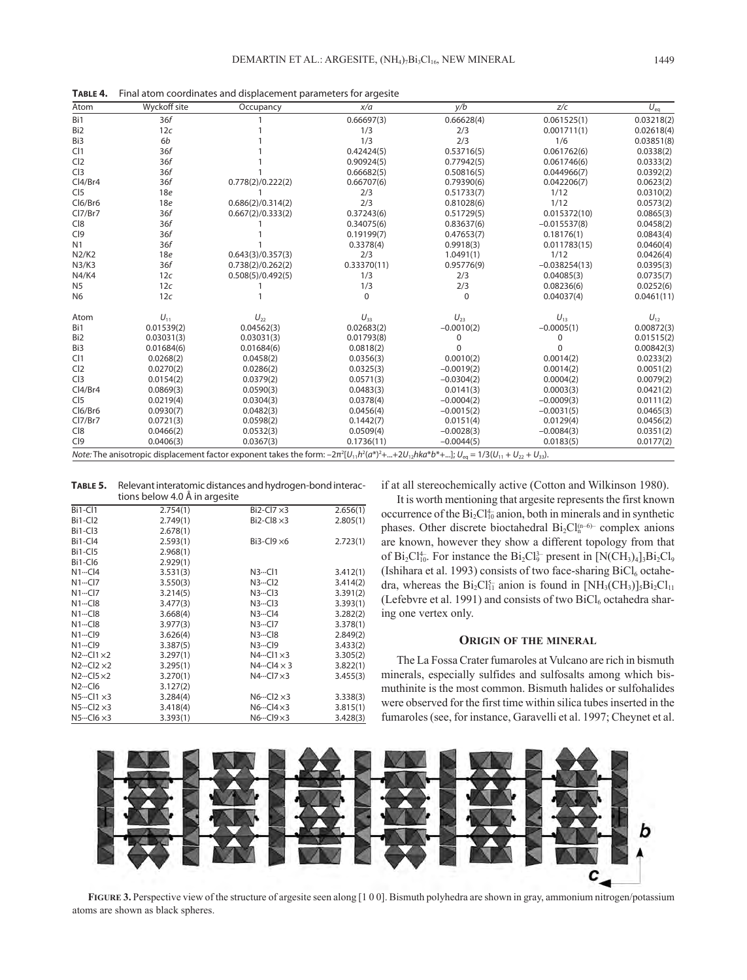**Table 4.** Final atom coordinates and displacement parameters for argesite

| Atom            | <b>Wyckoff site</b> | Occupancy                                                                                                                                                  | x/a         | y/b          | z/c             | $U_{eq}$   |
|-----------------|---------------------|------------------------------------------------------------------------------------------------------------------------------------------------------------|-------------|--------------|-----------------|------------|
| Bi1             | 36f                 |                                                                                                                                                            | 0.66697(3)  | 0.66628(4)   | 0.061525(1)     | 0.03218(2) |
| Bi <sub>2</sub> | 12c                 |                                                                                                                                                            | 1/3         | 2/3          | 0.001711(1)     | 0.02618(4) |
| Bi3             | 6b                  |                                                                                                                                                            | 1/3         | 2/3          | 1/6             | 0.03851(8) |
| Cl1             | 36f                 |                                                                                                                                                            | 0.42424(5)  | 0.53716(5)   | 0.061762(6)     | 0.0338(2)  |
| Cl <sub>2</sub> | 36f                 |                                                                                                                                                            | 0.90924(5)  | 0.77942(5)   | 0.061746(6)     | 0.0333(2)  |
| CI3             | 36f                 |                                                                                                                                                            | 0.66682(5)  | 0.50816(5)   | 0.044966(7)     | 0.0392(2)  |
| Cl4/Br4         | 36f                 | 0.778(2)/0.222(2)                                                                                                                                          | 0.66707(6)  | 0.79390(6)   | 0.042206(7)     | 0.0623(2)  |
| CI5             | 18e                 |                                                                                                                                                            | 2/3         | 0.51733(7)   | 1/12            | 0.0310(2)  |
| Cl6/Br6         | 18e                 | 0.686(2)/0.314(2)                                                                                                                                          | 2/3         | 0.81028(6)   | 1/12            | 0.0573(2)  |
| Cl7/Br7         | 36f                 | 0.667(2)/0.333(2)                                                                                                                                          | 0.37243(6)  | 0.51729(5)   | 0.015372(10)    | 0.0865(3)  |
| C18             | 36f                 |                                                                                                                                                            | 0.34075(6)  | 0.83637(6)   | $-0.015537(8)$  | 0.0458(2)  |
| CI9             | 36f                 |                                                                                                                                                            | 0.19199(7)  | 0.47653(7)   | 0.18176(1)      | 0.0843(4)  |
| N1              | 36f                 |                                                                                                                                                            | 0.3378(4)   | 0.9918(3)    | 0.011783(15)    | 0.0460(4)  |
| N2/K2           | 18 <sub>e</sub>     | 0.643(3)/0.357(3)                                                                                                                                          | 2/3         | 1.0491(1)    | 1/12            | 0.0426(4)  |
| N3/K3           | 36f                 | 0.738(2)/0.262(2)                                                                                                                                          | 0.33370(11) | 0.95776(9)   | $-0.038254(13)$ | 0.0395(3)  |
| N4/K4           | 12c                 | 0.508(5)/0.492(5)                                                                                                                                          | 1/3         | 2/3          | 0.04085(3)      | 0.0735(7)  |
| N <sub>5</sub>  | 12c                 |                                                                                                                                                            | 1/3         | 2/3          | 0.08236(6)      | 0.0252(6)  |
| N <sub>6</sub>  | 12c                 |                                                                                                                                                            | $\Omega$    | $\Omega$     | 0.04037(4)      | 0.0461(11) |
| Atom            | $U_{11}$            | $U_{22}$                                                                                                                                                   | $U_{33}$    | $U_{23}$     | $U_{13}$        | $U_{12}$   |
| Bi1             | 0.01539(2)          | 0.04562(3)                                                                                                                                                 | 0.02683(2)  | $-0.0010(2)$ | $-0.0005(1)$    | 0.00872(3) |
| Bi <sub>2</sub> | 0.03031(3)          | 0.03031(3)                                                                                                                                                 | 0.01793(8)  | 0            | $\Omega$        | 0.01515(2) |
| Bi3             | 0.01684(6)          | 0.01684(6)                                                                                                                                                 | 0.0818(2)   | $\Omega$     | $\Omega$        | 0.00842(3) |
| Cl1             | 0.0268(2)           | 0.0458(2)                                                                                                                                                  | 0.0356(3)   | 0.0010(2)    | 0.0014(2)       | 0.0233(2)  |
| Cl <sub>2</sub> | 0.0270(2)           | 0.0286(2)                                                                                                                                                  | 0.0325(3)   | $-0.0019(2)$ | 0.0014(2)       | 0.0051(2)  |
| CI3             | 0.0154(2)           | 0.0379(2)                                                                                                                                                  | 0.0571(3)   | $-0.0304(2)$ | 0.0004(2)       | 0.0079(2)  |
| Cl4/Br4         | 0.0869(3)           | 0.0590(3)                                                                                                                                                  | 0.0483(3)   | 0.0141(3)    | 0.0003(3)       | 0.0421(2)  |
| CI <sub>5</sub> | 0.0219(4)           | 0.0304(3)                                                                                                                                                  | 0.0378(4)   | $-0.0004(2)$ | $-0.0009(3)$    | 0.0111(2)  |
| Cl6/Br6         | 0.0930(7)           | 0.0482(3)                                                                                                                                                  | 0.0456(4)   | $-0.0015(2)$ | $-0.0031(5)$    | 0.0465(3)  |
| Cl7/Br7         | 0.0721(3)           | 0.0598(2)                                                                                                                                                  | 0.1442(7)   | 0.0151(4)    | 0.0129(4)       | 0.0456(2)  |
| C18             | 0.0466(2)           | 0.0532(3)                                                                                                                                                  | 0.0509(4)   | $-0.0028(3)$ | $-0.0084(3)$    | 0.0351(2)  |
| C <sub>19</sub> | 0.0406(3)           | 0.0367(3)                                                                                                                                                  | 0.1736(11)  | $-0.0044(5)$ | 0.0183(5)       | 0.0177(2)  |
|                 |                     | Note: The anisotropic displacement factor exponent takes the form: $-2\pi^2[U_{11}h^2(a^*)^2++2U_{12}hk(a^*)^*+]$ ; $U_{eq} = 1/3(U_{11}+U_{22}+U_{33})$ . |             |              |                 |            |

**Table 5.** Relevant interatomic distances and hydrogen-bond interactions below 4.0 Å in argesite

|                                     | upiis peidw 4.0 m iii argesite |                                     |          |
|-------------------------------------|--------------------------------|-------------------------------------|----------|
| Bi1-Cl1                             | 2.754(1)                       | $Bi2-CI7 \times 3$                  | 2.656(1) |
| Bi1-Cl <sub>2</sub>                 | 2.749(1)                       | $Bi2-CI8 \times 3$                  | 2.805(1) |
| Bi <sub>1</sub> -C <sub>13</sub>    | 2.678(1)                       |                                     |          |
| Bi1-Cl4                             | 2.593(1)                       | $Bi3-CI9 \times 6$                  | 2.723(1) |
| Bi1-Cl5                             | 2.968(1)                       |                                     |          |
| Bi1-Cl6                             | 2.929(1)                       |                                     |          |
| $N1 \cdots C14$                     | 3.531(3)                       | $N3 \cdot \cdot \cdot C11$          | 3.412(1) |
| $N1 \cdots C17$                     | 3.550(3)                       | $N3 \cdot \cdot \cdot Cl2$          | 3.414(2) |
| $N1 \cdots C17$                     | 3.214(5)                       | $N3 \cdot \cdot \cdot C13$          | 3.391(2) |
| $N1 \cdots C18$                     | 3.477(3)                       | $N3 \cdot \cdot \cdot C13$          | 3.393(1) |
| $N1 \cdots C18$                     | 3.668(4)                       | $N3 \cdot \cdot \cdot C14$          | 3.282(2) |
| $N1 \cdots C18$                     | 3.977(3)                       | $N3 \cdot \cdot \cdot C17$          | 3.378(1) |
| $N1 \cdots C19$                     | 3.626(4)                       | N3C18                               | 2.849(2) |
| $N1 \cdots C19$                     | 3.387(5)                       | N3C19                               | 3.433(2) |
| $N2 \cdot \cdot \cdot Cl1 \times 2$ | 3.297(1)                       | $N4 \cdot \cdot \cdot Cl1 \times 3$ | 3.305(2) |
| $N2 \cdot \cdot \cdot Cl2 \times 2$ | 3.295(1)                       | $N4 \cdot \cdot \cdot C14 \times 3$ | 3.822(1) |
| $N2 \cdot \cdot \cdot Cl5 \times 2$ | 3.270(1)                       | $N4 \cdot \cdot \cdot Cl7 \times 3$ | 3.455(3) |
| $N2 \cdot - C16$                    | 3.127(2)                       |                                     |          |
| $N5 \cdot \cdot \cdot Cl1 \times 3$ | 3.284(4)                       | $N6 \cdot \cdot \cdot Cl2 \times 3$ | 3.338(3) |
| $N5 \cdot \cdot \cdot Cl2 \times 3$ | 3.418(4)                       | $N6 \cdot \cdot \cdot Cl4 \times 3$ | 3.815(1) |
| $N5 \cdot \cdot \cdot Cl6 \times 3$ | 3.393(1)                       | $N6 \cdot \cdot \cdot Cl9 \times 3$ | 3.428(3) |

if at all stereochemically active (Cotton and Wilkinson 1980).

It is worth mentioning that argesite represents the first known occurrence of the  $Bi_2Cl_{10}^4$  anion, both in minerals and in synthetic phases. Other discrete bioctahedral  $Bi_2Cl_n^{(n-6)-}$  complex anions are known, however they show a different topology from that of  $Bi_2Cl_{10}^4$ . For instance the  $Bi_2Cl_9^{3-}$  present in  $[N(CH_3)_4]_3Bi_2Cl_9$ (Ishihara et al. 1993) consists of two face-sharing  $BiCl<sub>6</sub>$  octahedra, whereas the  $Bi_2Cl_{11}^{5-}$  anion is found in  $[NH_3(CH_3)]_5Bi_2Cl_{11}$ (Lefebvre et al. 1991) and consists of two  $Bicl<sub>6</sub>$  octahedra sharing one vertex only.

#### **Origin of the mineral**

The La Fossa Crater fumaroles at Vulcano are rich in bismuth minerals, especially sulfides and sulfosalts among which bismuthinite is the most common. Bismuth halides or sulfohalides were observed for the first time within silica tubes inserted in the fumaroles (see, for instance, Garavelli et al. 1997; Cheynet et al.



**Figure 3.** Perspective view of the structure of argesite seen along [1 0 0]. Bismuth polyhedra are shown in gray, ammonium nitrogen/potassium atoms are shown as black spheres.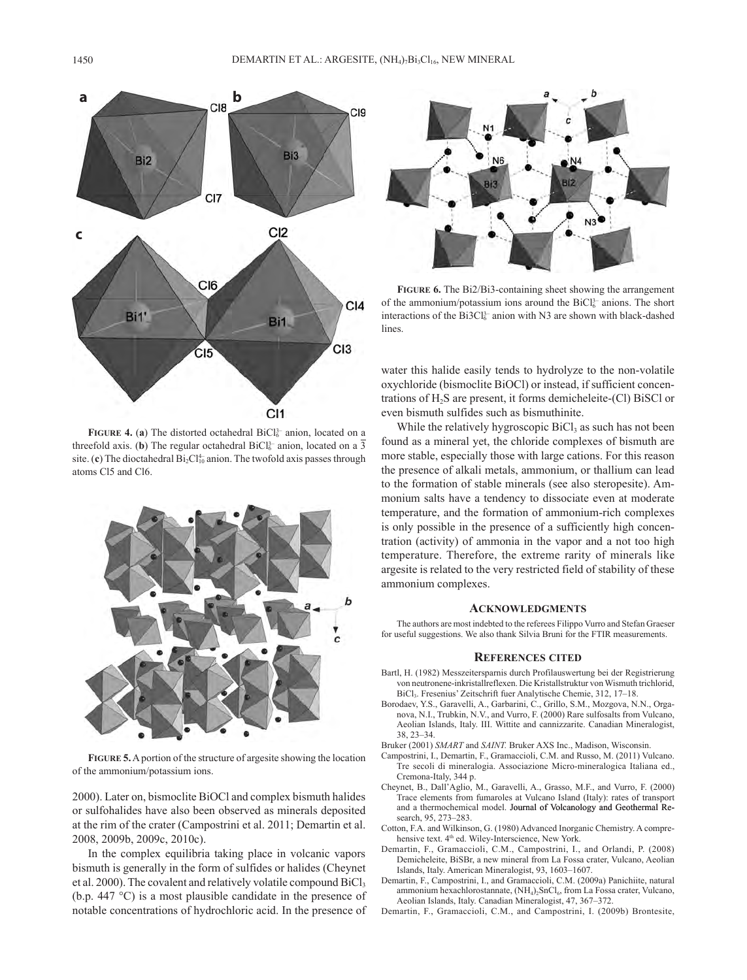

**FIGURE 4. (a) The distorted octahedral**  $\text{BiCl}_6^{3-}$  **anion, located on a** threefold axis. (b) The regular octahedral  $BiCl<sub>6</sub><sup>3-</sup>$  anion, located on a 3 site. (c) The dioctahedral  $Bi_2Cl_{10}^{4-}$  anion. The twofold axis passes through atoms Cl5 and Cl6.



**Figure 5.** A portion of the structure of argesite showing the location of the ammonium/potassium ions.

2000). Later on, bismoclite BiOCl and complex bismuth halides or sulfohalides have also been observed as minerals deposited at the rim of the crater (Campostrini et al. 2011; Demartin et al. 2008, 2009b, 2009c, 2010c).

In the complex equilibria taking place in volcanic vapors bismuth is generally in the form of sulfides or halides (Cheynet et al. 2000). The covalent and relatively volatile compound  $\text{BiCl}_3$ (b.p. 447 °C) is a most plausible candidate in the presence of notable concentrations of hydrochloric acid. In the presence of



**Figure 6.** The Bi2/Bi3-containing sheet showing the arrangement of the ammonium/potassium ions around the  $BiCl<sub>6</sub><sup>3-</sup>$  anions. The short interactions of the  $Bi3Cl_6^{3-}$  anion with N3 are shown with black-dashed lines.

water this halide easily tends to hydrolyze to the non-volatile oxychloride (bismoclite BiOCl) or instead, if sufficient concentrations of  $H_2S$  are present, it forms demicheleite-(Cl) BiSCl or even bismuth sulfides such as bismuthinite.

While the relatively hygroscopic  $\text{BiCl}_3$  as such has not been found as a mineral yet, the chloride complexes of bismuth are more stable, especially those with large cations. For this reason the presence of alkali metals, ammonium, or thallium can lead to the formation of stable minerals (see also steropesite). Ammonium salts have a tendency to dissociate even at moderate temperature, and the formation of ammonium-rich complexes is only possible in the presence of a sufficiently high concentration (activity) of ammonia in the vapor and a not too high temperature. Therefore, the extreme rarity of minerals like argesite is related to the very restricted field of stability of these ammonium complexes.

#### **Acknowledgments**

The authors are most indebted to the referees Filippo Vurro and Stefan Graeser for useful suggestions. We also thank Silvia Bruni for the FTIR measurements.

#### **References cited**

- Bartl, H. (1982) Messzeitersparnis durch Profilauswertung bei der Registrierung von neutronene-inkristallreflexen. Die Kristallstruktur von Wismuth trichlorid, BiCl3. Fresenius' Zeitschrift fuer Analytische Chemie, 312, 17–18.
- Borodaev, Y.S., Garavelli, A., Garbarini, C., Grillo, S.M., Mozgova, N.N., Organova, N.I., Trubkin, N.V., and Vurro, F. (2000) Rare sulfosalts from Vulcano, Aeolian Islands, Italy. III. Wittite and cannizzarite. Canadian Mineralogist, 38, 23–34.

Bruker (2001) *SMART* and *SAINT.* Bruker AXS Inc., Madison, Wisconsin.

- Campostrini, I., Demartin, F., Gramaccioli, C.M. and Russo, M. (2011) Vulcano. Tre secoli di mineralogia. Associazione Micro-mineralogica Italiana ed., Cremona-Italy, 344 p.
- Cheynet, B., Dall'Aglio, M., Garavelli, A., Grasso, M.F., and Vurro, F. (2000) Trace elements from fumaroles at Vulcano Island (Italy): rates of transport and a thermochemical model. Journal of Volcanology and Geothermal Research, 95, 273–283.
- Cotton, F.A. and Wilkinson, G. (1980) Advanced Inorganic Chemistry. A comprehensive text. 4<sup>th</sup> ed. Wiley-Interscience, New York.
- Demartin, F., Gramaccioli, C.M., Campostrini, I., and Orlandi, P. (2008) Demicheleite, BiSBr, a new mineral from La Fossa crater, Vulcano, Aeolian Islands, Italy. American Mineralogist, 93, 1603–1607.
- Demartin, F., Campostrini, I., and Gramaccioli, C.M. (2009a) Panichiite, natural ammonium hexachlorostannate, (NH<sub>4</sub>)<sub>2</sub>SnCl<sub>6</sub>, from La Fossa crater, Vulcano, Aeolian Islands, Italy. Canadian Mineralogist, 47, 367–372.
- Demartin, F., Gramaccioli, C.M., and Campostrini, I. (2009b) Brontesite,